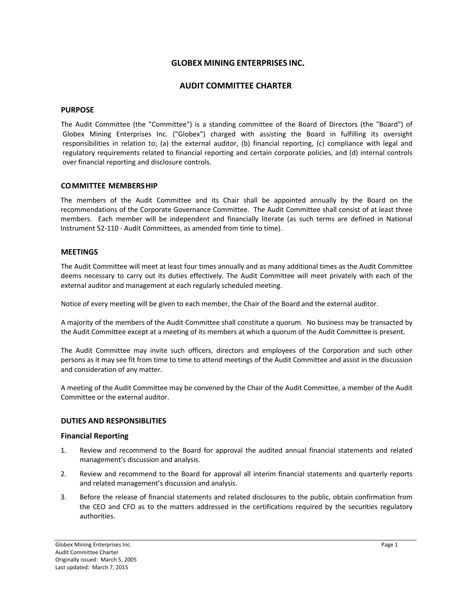# **GLOBEX MINING ENTERPRISES INC.**

# **AUDIT COMMITTEE CHARTER**

### **PURPOSE**

The Audit Committee (the "Committee") is a standing committee of the Board of Directors (the "Board") of Globex Mining Enterprises Inc. ("Globex") charged with assisting the Board in fulfilling its oversight responsibilities in relation to; (a) the external auditor, (b) financial reporting, (c) compliance with legal and regulatory requirements related to financial reporting and certain corporate policies, and (d) internal controls over financial reporting and disclosure controls.

## **COMMITTEE MEMBERSHIP**

The members of the Audit Committee and its Chair shall be appointed annually by the Board on the recommendations of the Corporate Governance Committee. The Audit Committee shall consist of at least three members. Each member will be independent and financially literate (as such terms are defined in National Instrument 52‐110 ‐ Audit Committees, as amended from time to time).

## **MEETINGS**

The Audit Committee will meet at least four times annually and as many additional times as the Audit Committee deems necessary to carry out its duties effectively. The Audit Committee will meet privately with each of the external auditor and management at each regularly scheduled meeting.

Notice of every meeting will be given to each member, the Chair of the Board and the external auditor.

A majority of the members of the Audit Committee shall constitute a quorum. No business may be transacted by the Audit Committee except at a meeting of its members at which a quorum of the Audit Committee is present.

The Audit Committee may invite such officers, directors and employees of the Corporation and such other persons as it may see fit from time to time to attend meetings of the Audit Committee and assist in the discussion and consideration of any matter.

A meeting of the Audit Committee may be convened by the Chair of the Audit Committee, a member of the Audit Committee or the external auditor.

### **DUTIES AND RESPONSIBLITIES**

### **Financial Reporting**

- 1. Review and recommend to the Board for approval the audited annual financial statements and related management's discussion and analysis.
- 2. Review and recommend to the Board for approval all interim financial statements and quarterly reports and related management's discussion and analysis.
- 3. Before the release of financial statements and related disclosures to the public, obtain confirmation from the CEO and CFO as to the matters addressed in the certifications required by the securities regulatory authorities.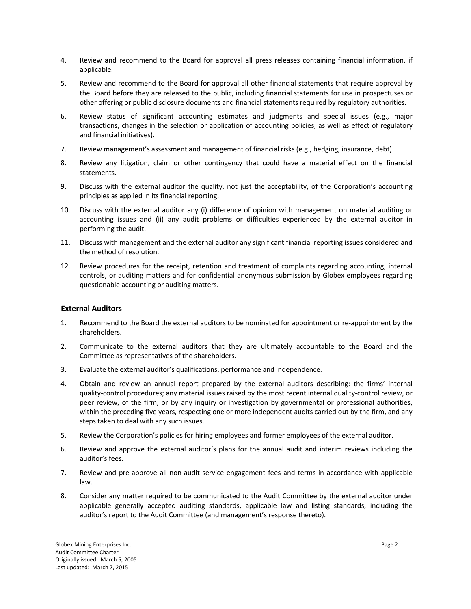- 4. Review and recommend to the Board for approval all press releases containing financial information, if applicable.
- 5. Review and recommend to the Board for approval all other financial statements that require approval by the Board before they are released to the public, including financial statements for use in prospectuses or other offering or public disclosure documents and financial statements required by regulatory authorities.
- 6. Review status of significant accounting estimates and judgments and special issues (e.g., major transactions, changes in the selection or application of accounting policies, as well as effect of regulatory and financial initiatives).
- 7. Review management's assessment and management of financial risks (e.g., hedging, insurance, debt).
- 8. Review any litigation, claim or other contingency that could have a material effect on the financial statements.
- 9. Discuss with the external auditor the quality, not just the acceptability, of the Corporation's accounting principles as applied in its financial reporting.
- 10. Discuss with the external auditor any (i) difference of opinion with management on material auditing or accounting issues and (ii) any audit problems or difficulties experienced by the external auditor in performing the audit.
- 11. Discuss with management and the external auditor any significant financial reporting issues considered and the method of resolution.
- 12. Review procedures for the receipt, retention and treatment of complaints regarding accounting, internal controls, or auditing matters and for confidential anonymous submission by Globex employees regarding questionable accounting or auditing matters.

## **External Auditors**

- 1. Recommend to the Board the external auditors to be nominated for appointment or re‐appointment by the shareholders.
- 2. Communicate to the external auditors that they are ultimately accountable to the Board and the Committee as representatives of the shareholders.
- 3. Evaluate the external auditor's qualifications, performance and independence.
- 4. Obtain and review an annual report prepared by the external auditors describing: the firms' internal quality‐control procedures; any material issues raised by the most recent internal quality‐control review, or peer review, of the firm, or by any inquiry or investigation by governmental or professional authorities, within the preceding five years, respecting one or more independent audits carried out by the firm, and any steps taken to deal with any such issues.
- 5. Review the Corporation's policies for hiring employees and former employees of the external auditor.
- 6. Review and approve the external auditor's plans for the annual audit and interim reviews including the auditor's fees.
- 7. Review and pre-approve all non-audit service engagement fees and terms in accordance with applicable law.
- 8. Consider any matter required to be communicated to the Audit Committee by the external auditor under applicable generally accepted auditing standards, applicable law and listing standards, including the auditor's report to the Audit Committee (and management's response thereto).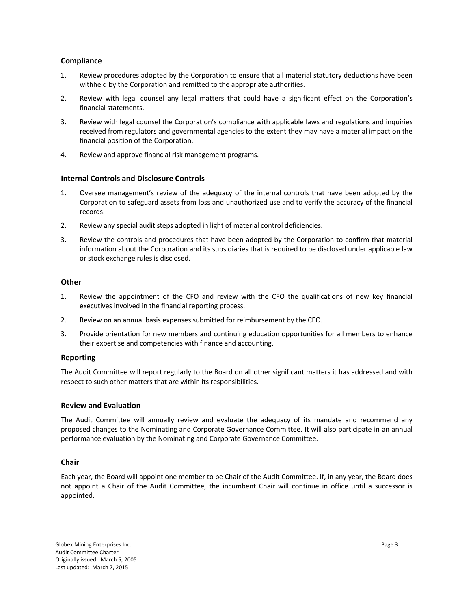## **Compliance**

- 1. Review procedures adopted by the Corporation to ensure that all material statutory deductions have been withheld by the Corporation and remitted to the appropriate authorities.
- 2. Review with legal counsel any legal matters that could have a significant effect on the Corporation's financial statements.
- 3. Review with legal counsel the Corporation's compliance with applicable laws and regulations and inquiries received from regulators and governmental agencies to the extent they may have a material impact on the financial position of the Corporation.
- 4. Review and approve financial risk management programs.

## **Internal Controls and Disclosure Controls**

- 1. Oversee management's review of the adequacy of the internal controls that have been adopted by the Corporation to safeguard assets from loss and unauthorized use and to verify the accuracy of the financial records.
- 2. Review any special audit steps adopted in light of material control deficiencies.
- 3. Review the controls and procedures that have been adopted by the Corporation to confirm that material information about the Corporation and its subsidiaries that is required to be disclosed under applicable law or stock exchange rules is disclosed.

### **Other**

- 1. Review the appointment of the CFO and review with the CFO the qualifications of new key financial executives involved in the financial reporting process.
- 2. Review on an annual basis expenses submitted for reimbursement by the CEO.
- 3. Provide orientation for new members and continuing education opportunities for all members to enhance their expertise and competencies with finance and accounting.

## **Reporting**

The Audit Committee will report regularly to the Board on all other significant matters it has addressed and with respect to such other matters that are within its responsibilities.

### **Review and Evaluation**

The Audit Committee will annually review and evaluate the adequacy of its mandate and recommend any proposed changes to the Nominating and Corporate Governance Committee. It will also participate in an annual performance evaluation by the Nominating and Corporate Governance Committee.

### **Chair**

Each year, the Board will appoint one member to be Chair of the Audit Committee. If, in any year, the Board does not appoint a Chair of the Audit Committee, the incumbent Chair will continue in office until a successor is appointed.